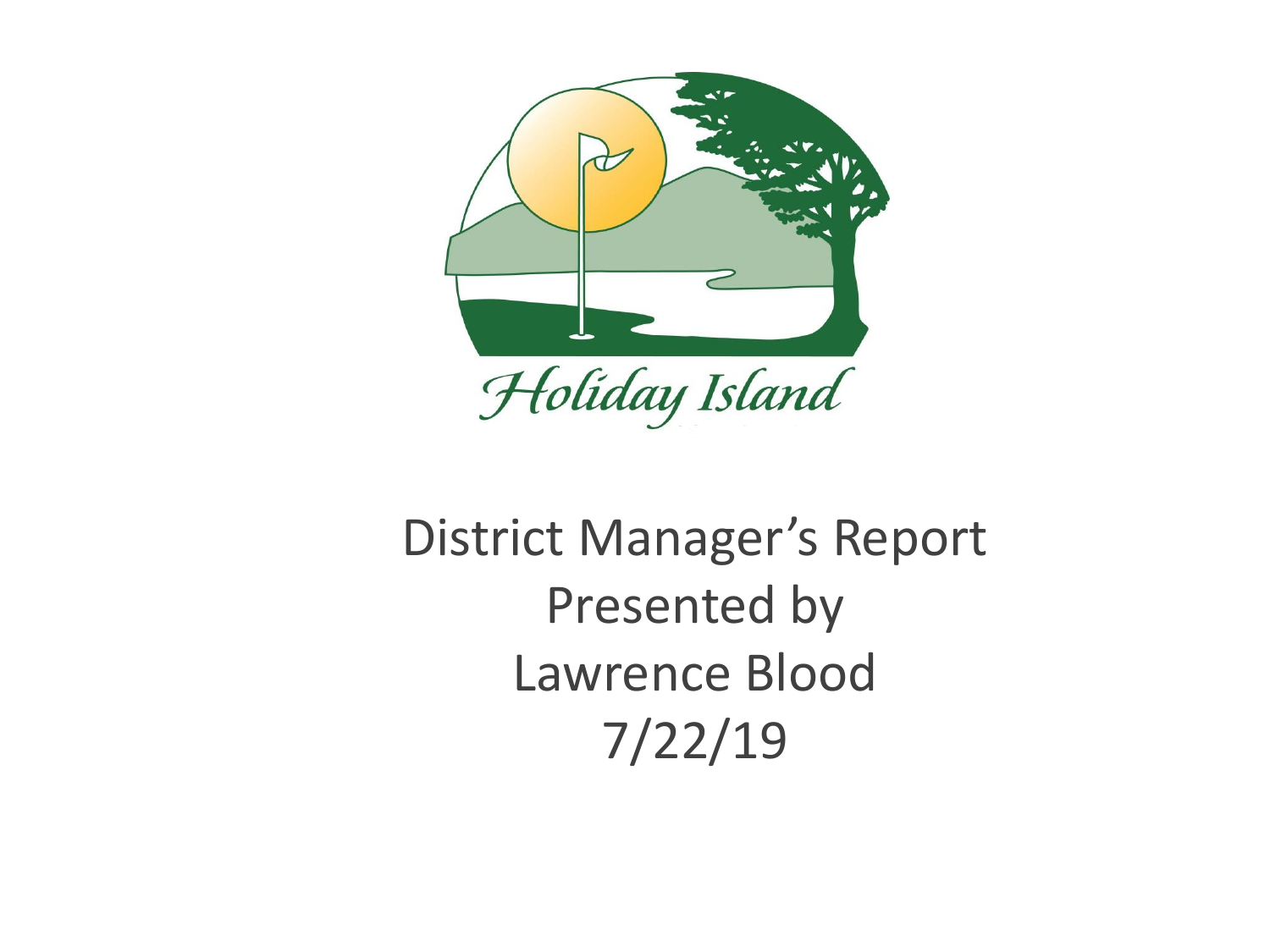

# District Manager's Report Presented by Lawrence Blood 7/22/19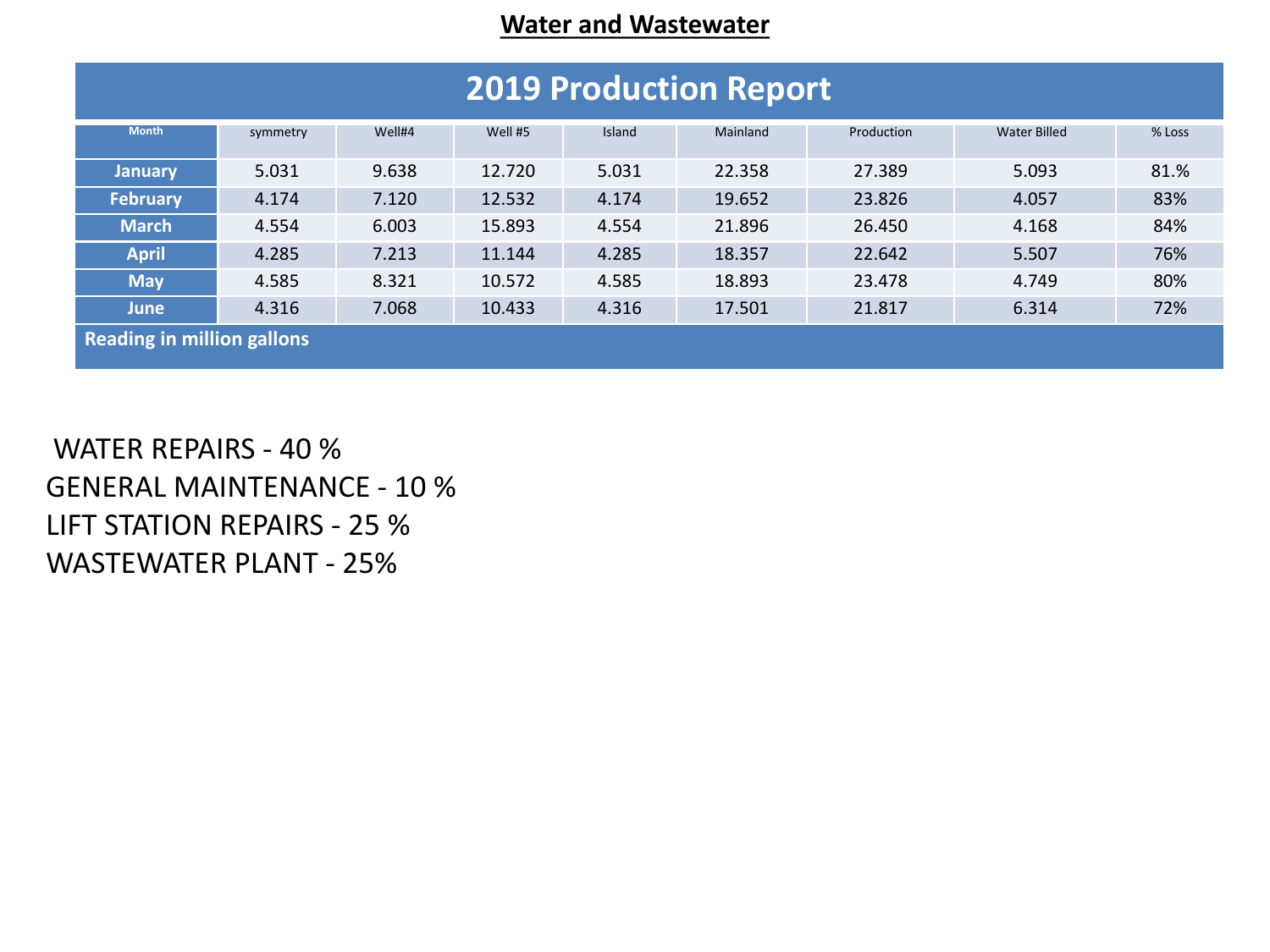#### **Water and Wastewater**

| <b>2019 Production Report</b>     |          |        |         |        |          |            |                     |        |
|-----------------------------------|----------|--------|---------|--------|----------|------------|---------------------|--------|
|                                   |          |        |         |        |          |            |                     |        |
| <b>Month</b>                      | symmetry | Well#4 | Well #5 | Island | Mainland | Production | <b>Water Billed</b> | % Loss |
|                                   |          |        |         |        |          |            |                     |        |
| <b>January</b>                    | 5.031    | 9.638  | 12.720  | 5.031  | 22.358   | 27.389     | 5.093               | 81.%   |
| <b>February</b>                   | 4.174    | 7.120  | 12.532  | 4.174  | 19.652   | 23.826     | 4.057               | 83%    |
| <b>March</b>                      | 4.554    | 6.003  | 15.893  | 4.554  | 21.896   | 26.450     | 4.168               | 84%    |
| <b>April</b>                      | 4.285    | 7.213  | 11.144  | 4.285  | 18.357   | 22.642     | 5.507               | 76%    |
| <b>May</b>                        | 4.585    | 8.321  | 10.572  | 4.585  | 18.893   | 23.478     | 4.749               | 80%    |
| <b>June</b>                       | 4.316    | 7.068  | 10.433  | 4.316  | 17.501   | 21.817     | 6.314               | 72%    |
| <b>Reading in million gallons</b> |          |        |         |        |          |            |                     |        |

WATER REPAIRS - 40 % GENERAL MAINTENANCE - 10 % LIFT STATION REPAIRS - 25 % WASTEWATER PLANT - 25%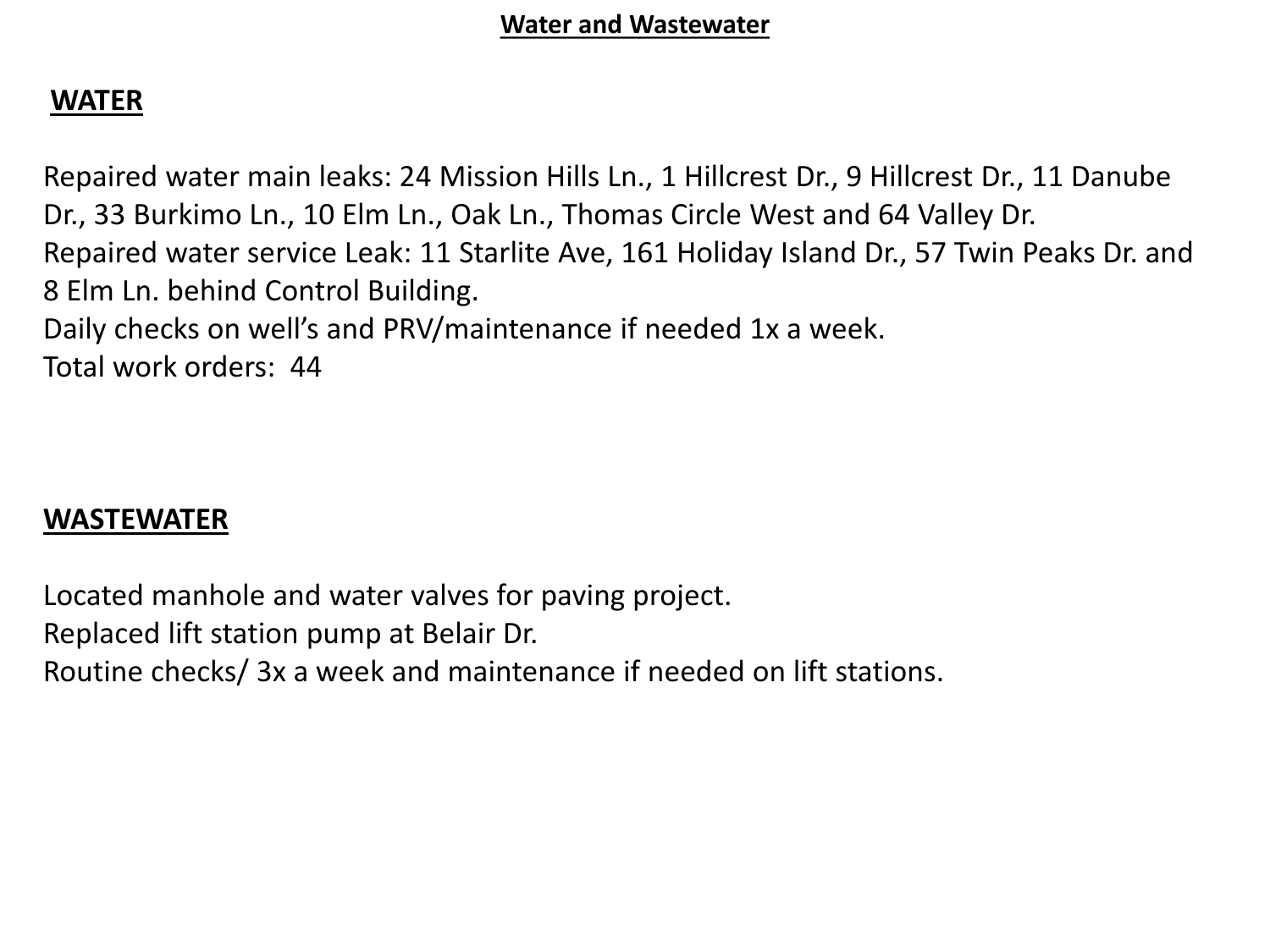### **WATER**

Repaired water main leaks: 24 Mission Hills Ln., 1 Hillcrest Dr., 9 Hillcrest Dr., 11 Danube Dr., 33 Burkimo Ln., 10 Elm Ln., Oak Ln., Thomas Circle West and 64 Valley Dr. Repaired water service Leak: 11 Starlite Ave, 161 Holiday Island Dr., 57 Twin Peaks Dr. and 8 Elm Ln. behind Control Building. Daily checks on well's and PRV/maintenance if needed 1x a week. Total work orders: 44

#### **WASTEWATER**

Located manhole and water valves for paving project. Replaced lift station pump at Belair Dr. Routine checks/ 3x a week and maintenance if needed on lift stations.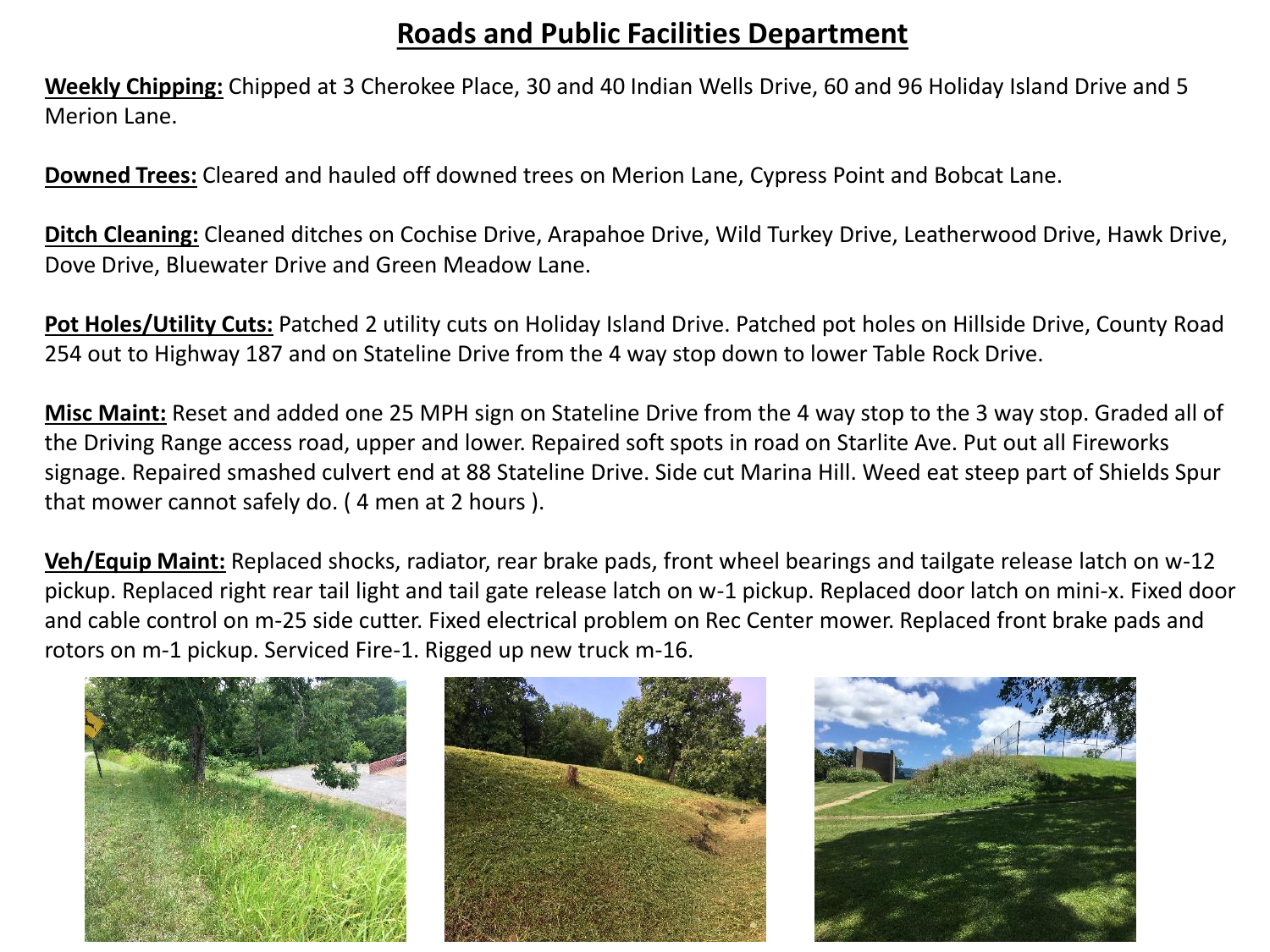#### **Roads and Public Facilities Department**

**Weekly Chipping:** Chipped at 3 Cherokee Place, 30 and 40 Indian Wells Drive, 60 and 96 Holiday Island Drive and 5 Merion Lane.

**Downed Trees:** Cleared and hauled off downed trees on Merion Lane, Cypress Point and Bobcat Lane.

**Ditch Cleaning:** Cleaned ditches on Cochise Drive, Arapahoe Drive, Wild Turkey Drive, Leatherwood Drive, Hawk Drive, Dove Drive, Bluewater Drive and Green Meadow Lane.

**Pot Holes/Utility Cuts:** Patched 2 utility cuts on Holiday Island Drive. Patched pot holes on Hillside Drive, County Road 254 out to Highway 187 and on Stateline Drive from the 4 way stop down to lower Table Rock Drive.

**Misc Maint:** Reset and added one 25 MPH sign on Stateline Drive from the 4 way stop to the 3 way stop. Graded all of the Driving Range access road, upper and lower. Repaired soft spots in road on Starlite Ave. Put out all Fireworks signage. Repaired smashed culvert end at 88 Stateline Drive. Side cut Marina Hill. Weed eat steep part of Shields Spur that mower cannot safely do. ( 4 men at 2 hours ).

**Veh/Equip Maint:** Replaced shocks, radiator, rear brake pads, front wheel bearings and tailgate release latch on w-12 pickup. Replaced right rear tail light and tail gate release latch on w-1 pickup. Replaced door latch on mini-x. Fixed door and cable control on m-25 side cutter. Fixed electrical problem on Rec Center mower. Replaced front brake pads and rotors on m-1 pickup. Serviced Fire-1. Rigged up new truck m-16.

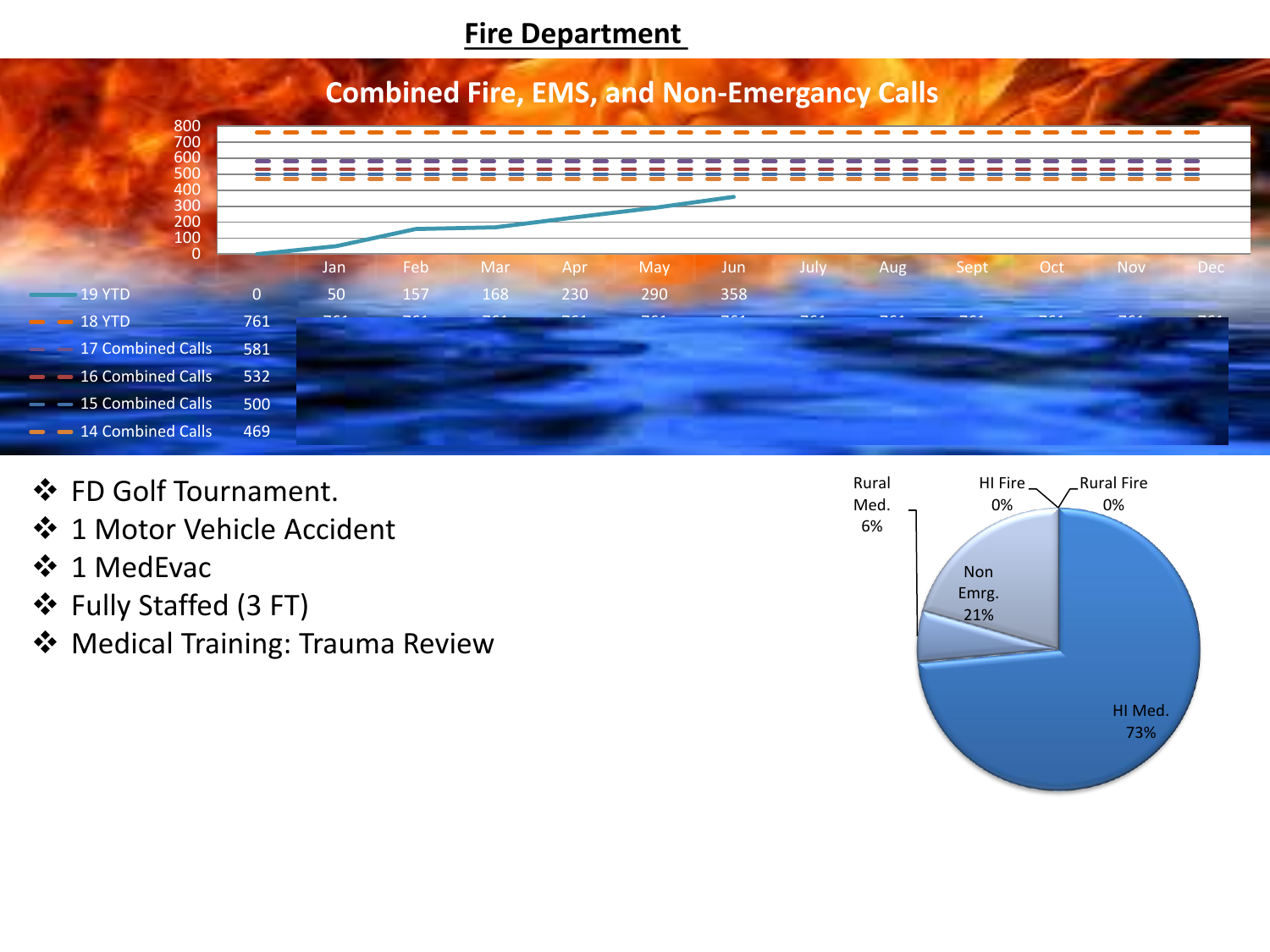#### **Fire Department**



- ❖ FD Golf Tournament.
- ❖ 1 Motor Vehicle Accident
- ❖ 1 MedEvac
- ❖ Fully Staffed (3 FT)
- ❖ Medical Training: Trauma Review

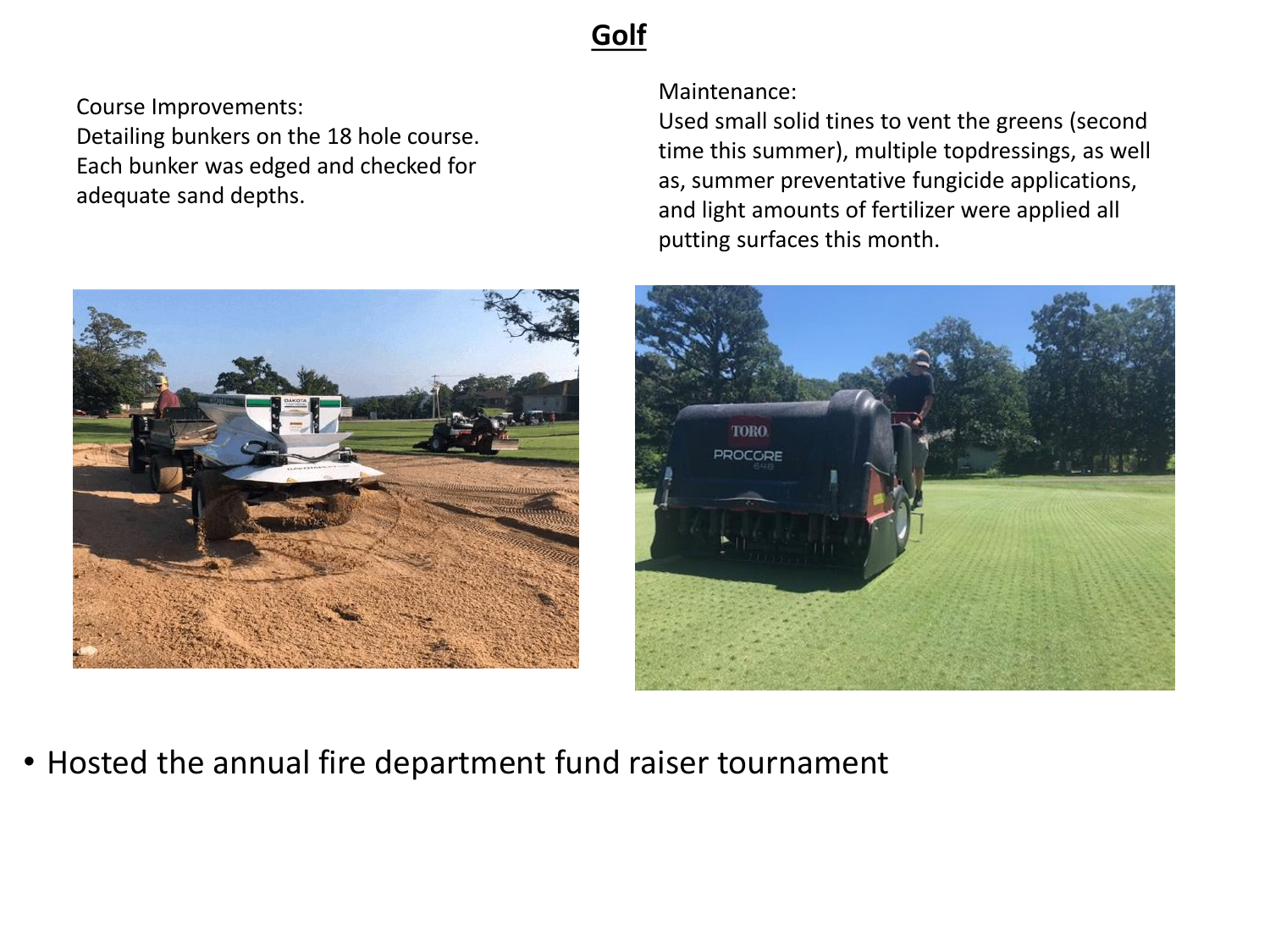## **Golf**

Course Improvements: Detailing bunkers on the 18 hole course. Each bunker was edged and checked for adequate sand depths.



Maintenance:

Used small solid tines to vent the greens (second time this summer), multiple topdressings, as well as, summer preventative fungicide applications, and light amounts of fertilizer were applied all putting surfaces this month.



• Hosted the annual fire department fund raiser tournament